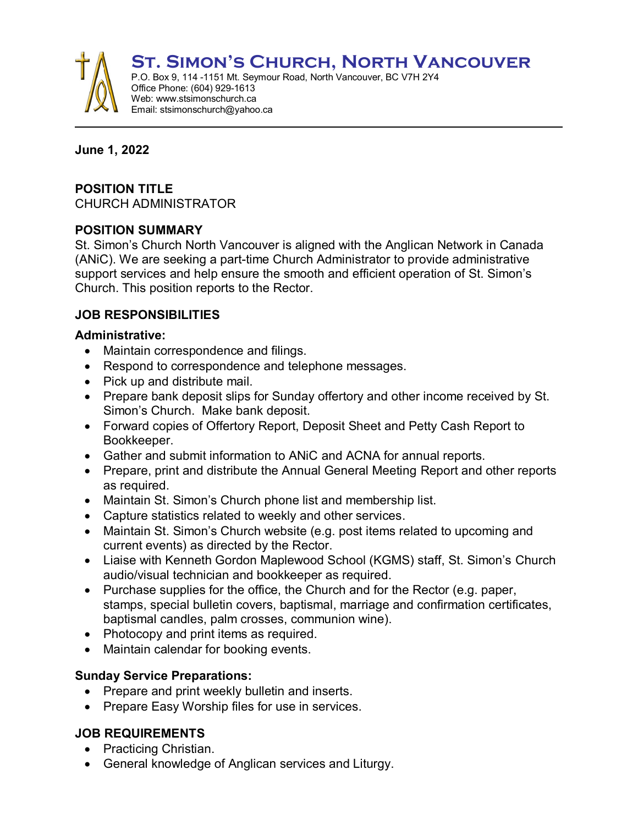**St. Simon's Church, North Vancouver** 



P.O. Box 9, 114 -1151 Mt. Seymour Road, North Vancouver, BC V7H 2Y4 Office Phone: (604) 929-1613 Web: www.stsimonschurch.ca Email: stsimonschurch@yahoo.ca

#### **June 1, 2022**

### **POSITION TITLE**

CHURCH ADMINISTRATOR

## **POSITION SUMMARY**

St. Simon's Church North Vancouver is aligned with the Anglican Network in Canada (ANiC). We are seeking a part-time Church Administrator to provide administrative support services and help ensure the smooth and efficient operation of St. Simon's Church. This position reports to the Rector.

# **JOB RESPONSIBILITIES**

### **Administrative:**

- Maintain correspondence and filings.
- Respond to correspondence and telephone messages.
- Pick up and distribute mail.
- Prepare bank deposit slips for Sunday offertory and other income received by St. Simon's Church. Make bank deposit.
- Forward copies of Offertory Report, Deposit Sheet and Petty Cash Report to Bookkeeper.
- Gather and submit information to ANiC and ACNA for annual reports.
- Prepare, print and distribute the Annual General Meeting Report and other reports as required.
- Maintain St. Simon's Church phone list and membership list.
- Capture statistics related to weekly and other services.
- Maintain St. Simon's Church website (e.g. post items related to upcoming and current events) as directed by the Rector.
- Liaise with Kenneth Gordon Maplewood School (KGMS) staff, St. Simon's Church audio/visual technician and bookkeeper as required.
- Purchase supplies for the office, the Church and for the Rector (e.g. paper, stamps, special bulletin covers, baptismal, marriage and confirmation certificates, baptismal candles, palm crosses, communion wine).
- Photocopy and print items as required.
- Maintain calendar for booking events.

### **Sunday Service Preparations:**

- Prepare and print weekly bulletin and inserts.
- Prepare Easy Worship files for use in services.

# **JOB REQUIREMENTS**

- Practicing Christian.
- General knowledge of Anglican services and Liturgy.